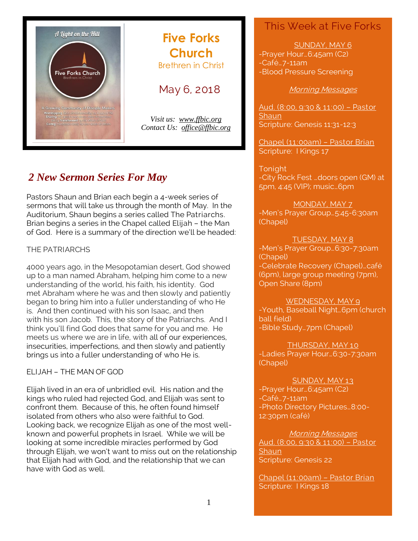

# **Five Forks Church** Brethren in Christ

May 6, 2018

*Visit us: [www.ffbic.org](http://www.ffbic.org/) Contact Us: [office@ffbic.org](mailto:office@ffbic.org)*

# *2 New Sermon Series For May*

Pastors Shaun and Brian each begin a 4-week series of sermons that will take us through the month of May. In the Auditorium, Shaun begins a series called The Patriarchs. Brian begins a series in the Chapel called Elijah – the Man of God. Here is a summary of the direction we'll be headed:

# THE PATRIARCHS

4000 years ago, in the Mesopotamian desert, God showed up to a man named Abraham, helping him come to a new understanding of the world, his faith, his identity. God met Abraham where he was and then slowly and patiently began to bring him into a fuller understanding of who He is. And then continued with his son Isaac, and then with his son Jacob. This, the story of the Patriarchs. And I think you'll find God does that same for you and me. He meets us where we are in life, with all of our experiences, insecurities, imperfections, and then slowly and patiently brings us into a fuller understanding of who He is.

ELIJAH – THE MAN OF GOD

Elijah lived in an era of unbridled evil. His nation and the kings who ruled had rejected God, and Elijah was sent to confront them. Because of this, he often found himself isolated from others who also were faithful to God. Looking back, we recognize Elijah as one of the most wellknown and powerful prophets in Israel. While we will be looking at some incredible miracles performed by God through Elijah, we won't want to miss out on the relationship that Elijah had with God, and the relationship that we can have with God as well.

# This Week at Five Forks

SUNDAY, MAY 6

-Prayer Hour…6:45am (C2) -Café…7-11am -Blood Pressure Screening

### Morning Messages

Aud. (8:00, 9:30 & 11:00) – Pastor **Shaun** Scripture: Genesis 11:31-12:3

Chapel (11:00am) – Pastor Brian Scripture: I Kings 17

Tonight -City Rock Fest …doors open (GM) at 5pm, 4:45 (VIP); music…6pm

MONDAY, MAY 7 -Men's Prayer Group…5:45-6:30am (Chapel)

# TUESDAY, MAY 8

-Men's Prayer Group…6:30-7:30am (Chapel) -Celebrate Recovery (Chapel)…café (6pm), large group meeting (7pm), Open Share (8pm)

### WEDNESDAY, MAY 9

-Youth, Baseball Night…6pm (church ball field) -Bible Study…7pm (Chapel)

THURSDAY, MAY 10 -Ladies Prayer Hour…6:30-7:30am (Chapel)

SUNDAY, MAY 13 -Prayer Hour…6:45am (C2) -Café…7-11am -Photo Directory Pictures…8:00- 12:30pm (café)

Morning Messages Aud. (8:00, 9:30 & 11:00) – Pastor **Shaun** Scripture: Genesis 22

Chapel (11:00am) – Pastor Brian Scripture: I Kings 18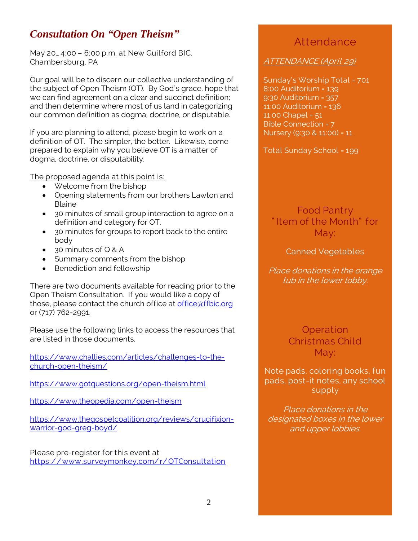# *Consultation On "Open Theism"*

May 20… 4:00 – 6:00 p.m. at New Guilford BIC, Chambersburg, PA

Our goal will be to discern our collective understanding of the subject of Open Theism (OT). By God's grace, hope that we can find agreement on a clear and succinct definition; and then determine where most of us land in categorizing our common definition as dogma, doctrine, or disputable.

If you are planning to attend, please begin to work on a definition of OT. The simpler, the better. Likewise, come prepared to explain why you believe OT is a matter of dogma, doctrine, or disputability.

The proposed agenda at this point is:

- Welcome from the bishop
- Opening statements from our brothers Lawton and Blaine
- 30 minutes of small group interaction to agree on a definition and category for OT.
- 30 minutes for groups to report back to the entire body
- 30 minutes of Q & A
- Summary comments from the bishop
- Benediction and fellowship

There are two documents available for reading prior to the Open Theism Consultation. If you would like a copy of those, please contact the church office at [office@ffbic.org](mailto:office@ffbic.org) or (717) 762-2991.

Please use the following links to access the resources that are listed in those documents.

[https://www.challies.com/articles/challenges-to-the](https://www.challies.com/articles/challenges-to-the-church-open-theism/)[church-open-theism/](https://www.challies.com/articles/challenges-to-the-church-open-theism/)

<https://www.gotquestions.org/open-theism.html>

<https://www.theopedia.com/open-theism>

[https://www.thegospelcoalition.org/reviews/crucifixion](https://www.thegospelcoalition.org/reviews/crucifixion-warrior-god-greg-boyd/)[warrior-god-greg-boyd/](https://www.thegospelcoalition.org/reviews/crucifixion-warrior-god-greg-boyd/)

Please pre-register for this event at <https://www.surveymonkey.com/r/OTConsultation>

# Attendance

ATTENDANCE (April 29)

Sunday's Worship Total = 701 8:00 Auditorium = 139 9:30 Auditorium = 357 11:00 Auditorium = 136 11:00 Chapel = 51 Bible Connection = 7 Nursery (9:30 & 11:00) = 11

Total Sunday School = 199

Food Pantry " Item of the Month" for May:

### Canned Vegetables

Place donations in the orange tub in the lower lobby.

> **Operation** Christmas Child May:

Note pads, coloring books, fun pads, post-it notes, any school supply

Place donations in the designated boxes in the lower and upper lobbies.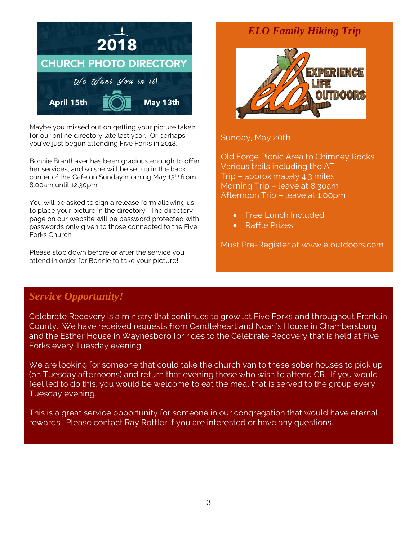

Maybe you missed out on getting your picture taken for our online directory late last year. Or perhaps you've just begun attending Five Forks in 2018.

Bonnie Branthaver has been gracious enough to offer her services, and so she will be set up in the back corner of the Cafe on Sunday morning May 13<sup>th</sup> from 8:00am until 12:30pm.

You will be asked to sign a release form allowing us to place your picture in the directory. The directory page on our website will be password protected with passwords only given to those connected to the Five Forks Church.

Please stop down before or after the service you attend in order for Bonnie to take your picture!

# *ELO Family Hiking Trip*



Sunday, May 20th

Old Forge Picnic Area to Chimney Rocks Various trails including the AT Trip – approximately 4.3 miles Morning Trip – leave at 8:30am Afternoon Trip – leave at 1:00pm

- Free Lunch Included
- Raffle Prizes

Must Pre-Register at [www.eloutdoors.com](http://www.eloutdoors.com/)

# *Service Opportunity!*

Celebrate Recovery is a ministry that continues to grow…at Five Forks and throughout Franklin County. We have received requests from Candleheart and Noah's House in Chambersburg and the Esther House in Waynesboro for rides to the Celebrate Recovery that is held at Five Forks every Tuesday evening.

We are looking for someone that could take the church van to these sober houses to pick up (on Tuesday afternoons) and return that evening those who wish to attend CR. If you would feel led to do this, you would be welcome to eat the meal that is served to the group every Tuesday evening.

This is a great service opportunity for someone in our congregation that would have eternal rewards. Please contact Ray Rottler if you are interested or have any questions.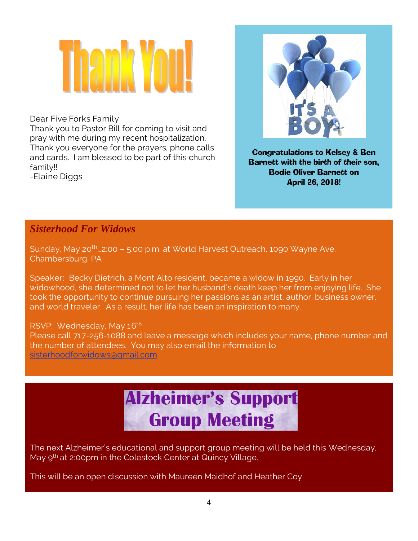# 1211 X Y 1

Dear Five Forks Family

Thank you to Pastor Bill for coming to visit and pray with me during my recent hospitalization. Thank you everyone for the prayers, phone calls and cards. I am blessed to be part of this church family!! -Elaine Diggs



Congratulations to Kelsey & Ben Barnett with the birth of their son, Bodie Oliver Barnett on April 26, 2018!

# *Sisterhood For Widows*

Sunday, May 20th…2:00 – 5:00 p.m. at World Harvest Outreach, 1090 Wayne Ave. Chambersburg, PA

Speaker: Becky Dietrich, a Mont Alto resident, became a widow in 1990. Early in her widowhood, she determined not to let her husband's death keep her from enjoying life. She took the opportunity to continue pursuing her passions as an artist, author, business owner, and world traveler. As a result, her life has been an inspiration to many.

RSVP: Wednesday, May 16<sup>th</sup><br>Please call 717, 356, 1988, and Please call 717-256-1088 and leave a message which includes your name, phone number and the number of attendees. You may also email the information to [sisterhoodforwidows@gmail.com](mailto:sisterhoodforwidows@gmail.com)

# **Alzheimer's Support Group Meeting**

The next Alzheimer's educational and support group meeting will be held this Wednesday, May 9<sup>th</sup> at 2:00pm in the Colestock Center at Quincy Village.

This will be an open discussion with Maureen Maidhof and Heather Coy.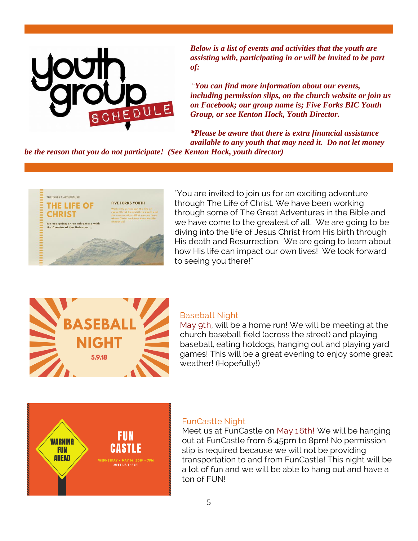

*Below is a list of events and activities that the youth are assisting with, participating in or will be invited to be part of:*

*"You can find more information about our events, including permission slips, on the church website or join us on Facebook; our group name is; Five Forks BIC Youth Group, or see Kenton Hock, Youth Director.*

*\*Please be aware that there is extra financial assistance available to any youth that may need it. Do not let money* 

*be the reason that you do not participate! (See Kenton Hock, youth director)*



"You are invited to join us for an exciting adventure through The Life of Christ. We have been working through some of The Great Adventures in the Bible and we have come to the greatest of all. We are going to be diving into the life of Jesus Christ from His birth through His death and Resurrection. We are going to learn about how His life can impact our own lives! We look forward to seeing you there!"



### Baseball Night

May 9th, will be a home run! We will be meeting at the church baseball field (across the street) and playing baseball, eating hotdogs, hanging out and playing yard games! This will be a great evening to enjoy some great weather! (Hopefully!)



### FunCastle Night

Meet us at FunCastle on May 16th! We will be hanging out at FunCastle from 6:45pm to 8pm! No permission slip is required because we will not be providing transportation to and from FunCastle! This night will be a lot of fun and we will be able to hang out and have a ton of FUN!